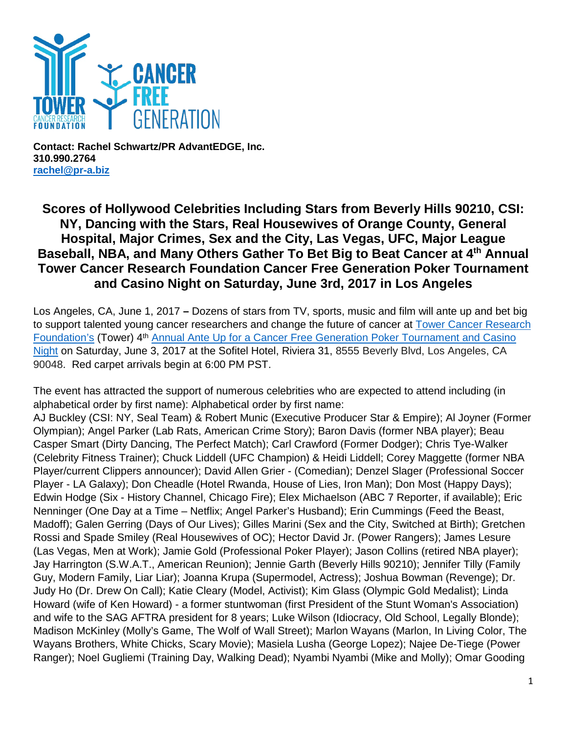

**Contact: Rachel Schwartz/PR AdvantEDGE, Inc. 310.990.2764 [rachel@pr-a.biz](mailto:rachel@pr-a.biz)**

## **Scores of Hollywood Celebrities Including Stars from Beverly Hills 90210, CSI: NY, Dancing with the Stars, Real Housewives of Orange County, General Hospital, Major Crimes, Sex and the City, Las Vegas, UFC, Major League Baseball, NBA, and Many Others Gather To Bet Big to Beat Cancer at 4th Annual Tower Cancer Research Foundation Cancer Free Generation Poker Tournament and Casino Night on Saturday, June 3rd, 2017 in Los Angeles**

Los Angeles, CA, June 1, 2017 **–** Dozens of stars from TV, sports, music and film will ante up and bet big to support talented young cancer researchers and change the future of cancer at [Tower Cancer Research](http://towercancer.org/)  [Foundation's](http://towercancer.org/) (Tower) 4<sup>th</sup> Annual Ante Up for a Cancer Free Generation Poker Tournament and Casino [Night](http://towercancer.org/2017-ante-up-ticket-page/) on Saturday, June 3, 2017 at the Sofitel Hotel, Riviera 31, 8555 Beverly Blvd, Los Angeles, CA 90048. Red carpet arrivals begin at 6:00 PM PST.

The event has attracted the support of numerous celebrities who are expected to attend including (in alphabetical order by first name): Alphabetical order by first name:

AJ Buckley (CSI: NY, Seal Team) & Robert Munic (Executive Producer Star & Empire); Al Joyner (Former Olympian); Angel Parker (Lab Rats, American Crime Story); Baron Davis (former NBA player); Beau Casper Smart (Dirty Dancing, The Perfect Match); Carl Crawford (Former Dodger); Chris Tye-Walker (Celebrity Fitness Trainer); Chuck Liddell (UFC Champion) & Heidi Liddell; Corey Maggette (former NBA Player/current Clippers announcer); David Allen Grier - (Comedian); Denzel Slager (Professional Soccer Player - LA Galaxy); Don Cheadle (Hotel Rwanda, House of Lies, Iron Man); Don Most (Happy Days); Edwin Hodge (Six - History Channel, Chicago Fire); Elex Michaelson (ABC 7 Reporter, if available); Eric Nenninger (One Day at a Time – Netflix; Angel Parker's Husband); Erin Cummings (Feed the Beast, Madoff); Galen Gerring (Days of Our Lives); Gilles Marini (Sex and the City, Switched at Birth); Gretchen Rossi and Spade Smiley (Real Housewives of OC); Hector David Jr. (Power Rangers); James Lesure (Las Vegas, Men at Work); Jamie Gold (Professional Poker Player); Jason Collins (retired NBA player); Jay Harrington (S.W.A.T., American Reunion); Jennie Garth (Beverly Hills 90210); Jennifer Tilly (Family Guy, Modern Family, Liar Liar); Joanna Krupa (Supermodel, Actress); Joshua Bowman (Revenge); Dr. Judy Ho (Dr. Drew On Call); Katie Cleary (Model, Activist); Kim Glass (Olympic Gold Medalist); Linda Howard (wife of Ken Howard) - a former stuntwoman (first President of the Stunt Woman's Association) and wife to the SAG AFTRA president for 8 years; Luke Wilson (Idiocracy, Old School, Legally Blonde); Madison McKinley (Molly's Game, The Wolf of Wall Street); Marlon Wayans (Marlon, In Living Color, The Wayans Brothers, White Chicks, Scary Movie); Masiela Lusha (George Lopez); Najee De-Tiege (Power Ranger); Noel Gugliemi (Training Day, Walking Dead); Nyambi Nyambi (Mike and Molly); Omar Gooding